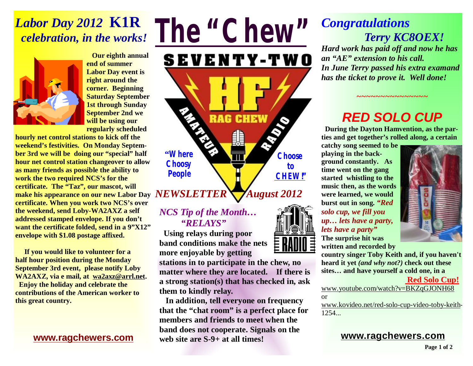# *Labor Day 2012* **K1R**   *celebration, in the works!*



**Our eighth annual end of summer Labor Day event is right around the corner. Beginning Saturday September 1st through Sunday September 2nd we will be using our regularly scheduled** 

**hourly net control stations to kick off the weekend's festivities. On Monday September 3rd we will be doing our "special" half hour net control station changeover to allow as many friends as possible the ability to work the two required NCS's for the certificate. The "Taz", our mascot, will make his appearance on our new Labor Day certificate. When you work two NCS's over the weekend, send Loby-WA2AXZ a self addressed stamped envelope. If you don't want the certificate folded, send in a 9"X12" envelope with \$1.08 postage affixed.** 

**If you would like to volunteer for a half hour position during the Monday September 3rd event, please notify Loby WA2AXZ, via e mail, at [wa2axz@arrl.net](mailto:wa2axz@arrl.net).** 

 **Enjoy the holiday and celebrate the contributions of the American worker to this great country.** 

## **[www.ragchewers.com](http://www.ragchewers.com)**

*The "Chew"* **SEVENTY-TWO RAG CHEW "Where Choose Choosy to People CHEW!"**

#### *NEWSLETTER*  *August 2012*

## *NCS Tip of the Month… "RELAYS"*

**Using relays during poor band conditions make the nets more enjoyable by getting** 

**stations in to participate in the chew, no matter where they are located. If there is a strong station(s) that has checked in, ask them to kindly relay.** 

 **In addition, tell everyone on frequency that the "chat room" is a perfect place for members and friends to meet when the band does not cooperate. Signals on the web site are S-9+ at all times!** 

## *Congratulations Terry KC8OEX!*

*Hard work has paid off and now he has an "AE" extension to his call. In June Terry passed his extra examand has the ticket to prove it. Well done!* 

# *RED SOLO CUP*

*~~~~~~~~~~~~~~~*

 **During the Dayton Hamvention, as the parties and get together's rolled along, a certain** 

**catchy song seemed to be playing in the background constantly. As time went on the gang started whistling to the music then, as the words were learned, we would burst out in song.** *"Red solo cup, we fill you up… lets have a party, lets have a party"*



**The surprise hit was written and recorded by** 

**country singer Toby Keith and, if you haven't heard it yet** *(and why not?)* **check out these sites… and have yourself a cold one, in a** 

#### **Red Solo Cup!**

[www.youtube.com/watch?v=BKZqGJONH68](http://www.youtube.com/watch?v=BKZqGJONH68) or

[www.kovideo.net/red-solo-cup-video-toby-keith](http://www.kovideo.net/red-solo-cup-video-toby-keith)-1254...

## **[www.ragchewers.com](http://www.ragchewers.com)**